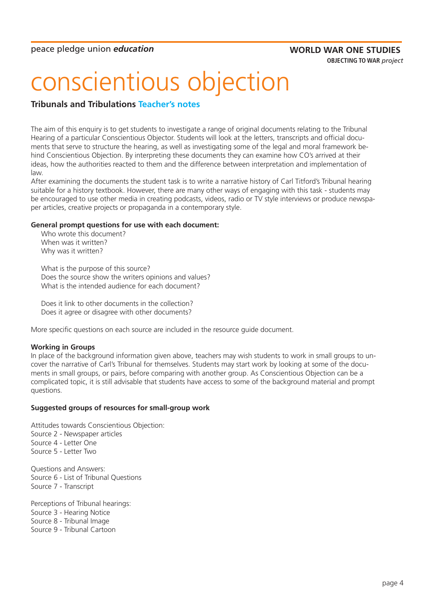# **OBJECTING TO WAR** *project*

# conscientious objection

# **Tribunals and Tribulations Teacher's notes**

The aim of this enquiry is to get students to investigate a range of original documents relating to the Tribunal Hearing of a particular Conscientious Objector. Students will look at the letters, transcripts and official documents that serve to structure the hearing, as well as investigating some of the legal and moral framework behind Conscientious Objection. By interpreting these documents they can examine how CO's arrived at their ideas, how the authorities reacted to them and the difference between interpretation and implementation of law.

After examining the documents the student task is to write a narrative history of Carl Titford's Tribunal hearing suitable for a history textbook. However, there are many other ways of engaging with this task - students may be encouraged to use other media in creating podcasts, videos, radio or TV style interviews or produce newspaper articles, creative projects or propaganda in a contemporary style.

# **General prompt questions for use with each document:**

Who wrote this document? When was it written? Why was it written?

What is the purpose of this source? Does the source show the writers opinions and values? What is the intended audience for each document?

Does it link to other documents in the collection? Does it agree or disagree with other documents?

More specific questions on each source are included in the resource guide document.

# **Working in Groups**

In place of the background information given above, teachers may wish students to work in small groups to uncover the narrative of Carl's Tribunal for themselves. Students may start work by looking at some of the documents in small groups, or pairs, before comparing with another group. As Conscientious Objection can be a complicated topic, it is still advisable that students have access to some of the background material and prompt questions.

# **Suggested groups of resources for small-group work**

Attitudes towards Conscientious Objection: Source 2 - Newspaper articles Source 4 - Letter One Source 5 - Letter Two Questions and Answers:

Source 6 - List of Tribunal Questions Source 7 - Transcript

Perceptions of Tribunal hearings:

Source 3 - Hearing Notice

Source 8 - Tribunal Image

Source 9 - Tribunal Cartoon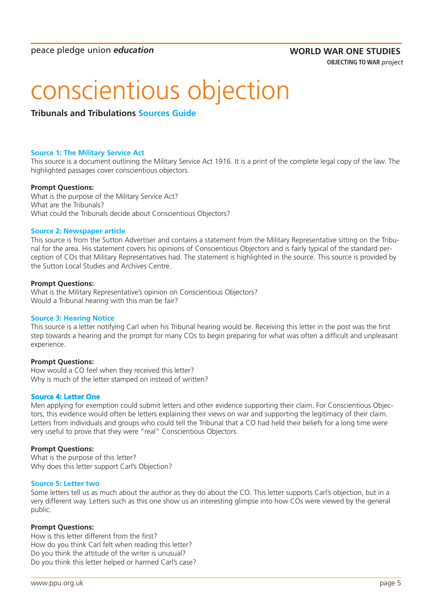# conscientious objection

**Tribunals and Tribulations Sources Guide**

## **Source 1: The Military Service Act**

This source is a document outlining the Military Service Act 1916. It is a print of the complete legal copy of the law. The highlighted passages cover conscientious objectors.

## **Prompt Questions:**

What is the purpose of the Military Service Act? What are the Tribunals? What could the Tribunals decide about Conscientious Objectors?

#### **Source 2: Newspaper article**

This source is from the Sutton Advertiser and contains a statement from the Military Representative sitting on the Tribunal for the area. His statement covers his opinions of Conscientious Objectors and is fairly typical of the standard perception of COs that Military Representatives had. The statement is highlighted in the source. This source is provided by the Sutton Local Studies and Archives Centre.

#### **Prompt Questions:**

What is the Military Representative's opinion on Conscientious Objectors? Would a Tribunal hearing with this man be fair?

# **Source 3: Hearing Notice**

This source is a letter notifying Carl when his Tribunal hearing would be. Receiving this letter in the post was the first step towards a hearing and the prompt for many COs to begin preparing for what was often a difficult and unpleasant experience.

# **Prompt Questions:**

How would a CO feel when they received this letter? Why is much of the letter stamped on instead of written?

# **Source 4: Letter One**

Men applying for exemption could submit letters and other evidence supporting their claim. For Conscientious Objectors, this evidence would often be letters explaining their views on war and supporting the legitimacy of their claim. Letters from individuals and groups who could tell the Tribunal that a CO had held their beliefs for a long time were very useful to prove that they were "real" Conscientious Objectors.

# **Prompt Questions:**

What is the purpose of this letter? Why does this letter support Carl's Objection?

#### **Source 5: Letter two**

Some letters tell us as much about the author as they do about the CO. This letter supports Carl's objection, but in a very different way. Letters such as this one show us an interesting glimpse into how COs were viewed by the general public.

#### **Prompt Questions:**

How is this letter different from the first? How do you think Carl felt when reading this letter? Do you think the attitude of the writer is unusual? Do you think this letter helped or harmed Carl's case?